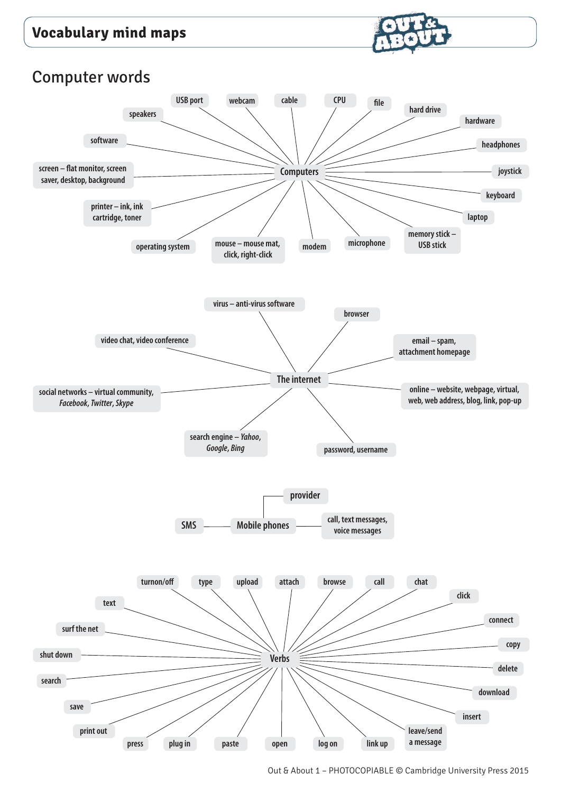

#### Computer words

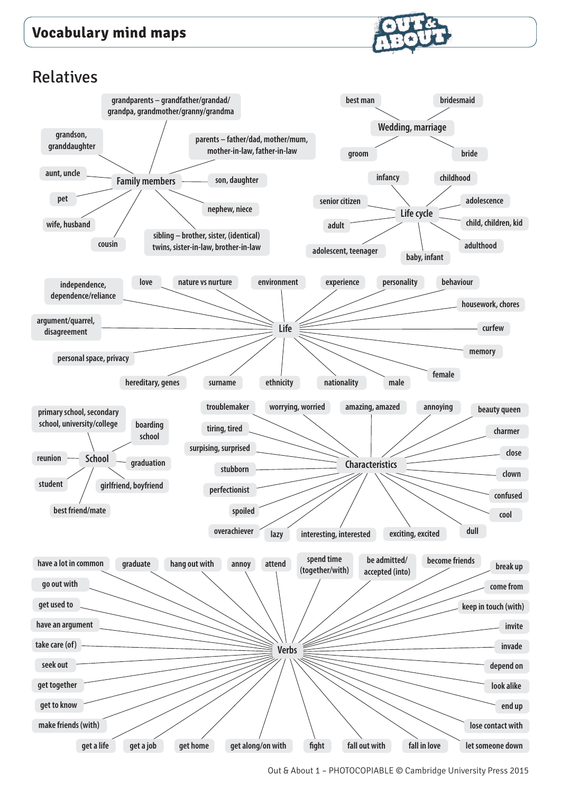

#### Relatives



Out & About 1 – PHOTOCOPIABLE © Cambridge University Press 2015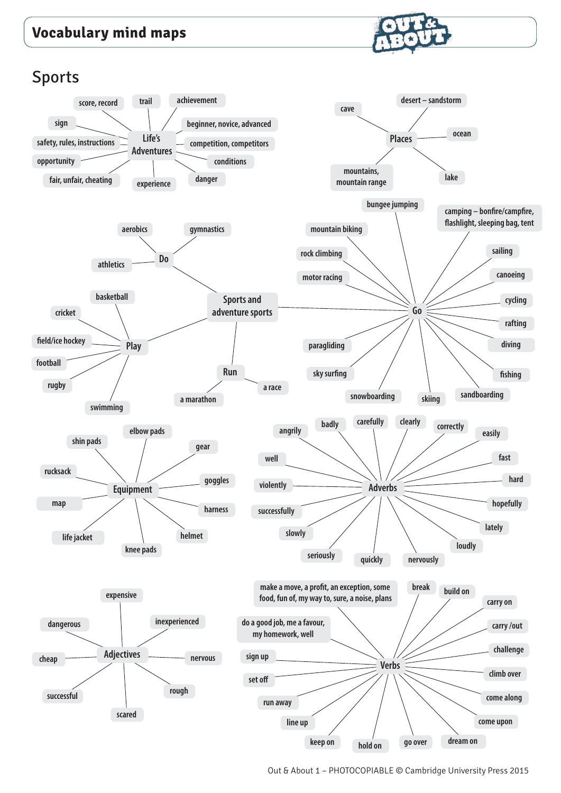

Sports

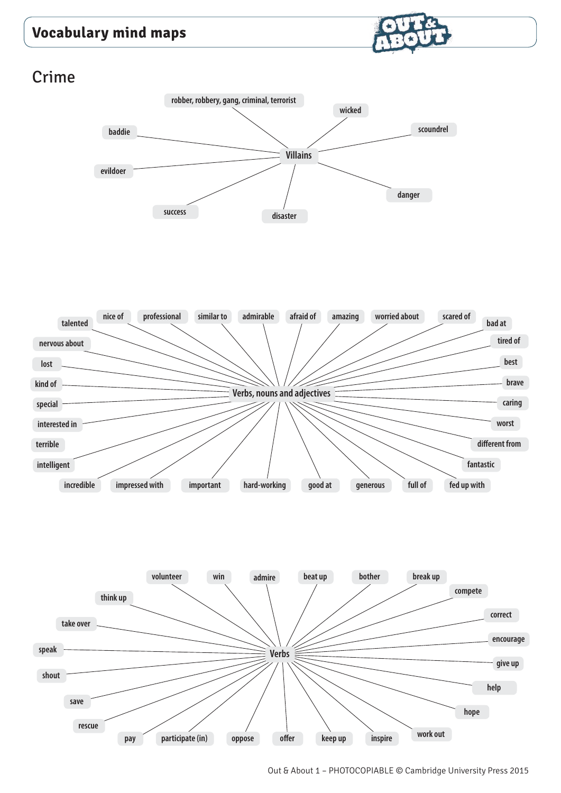

# Crime





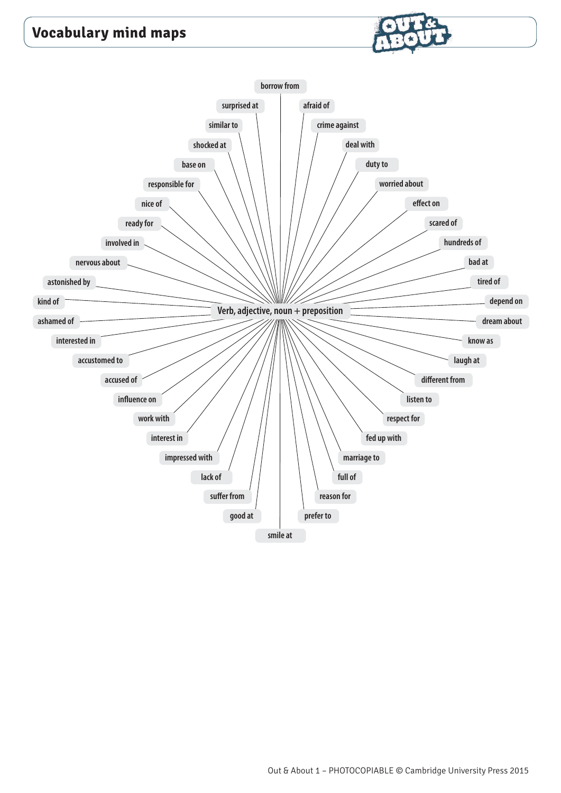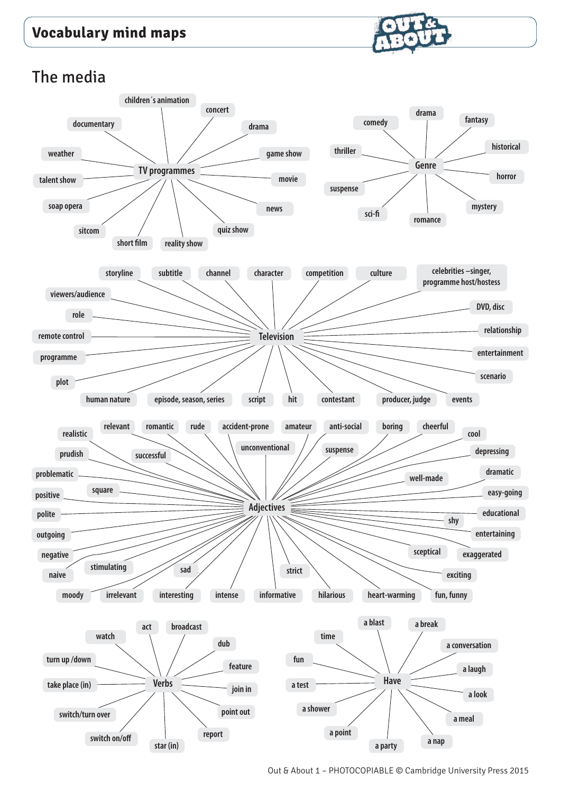

## The media